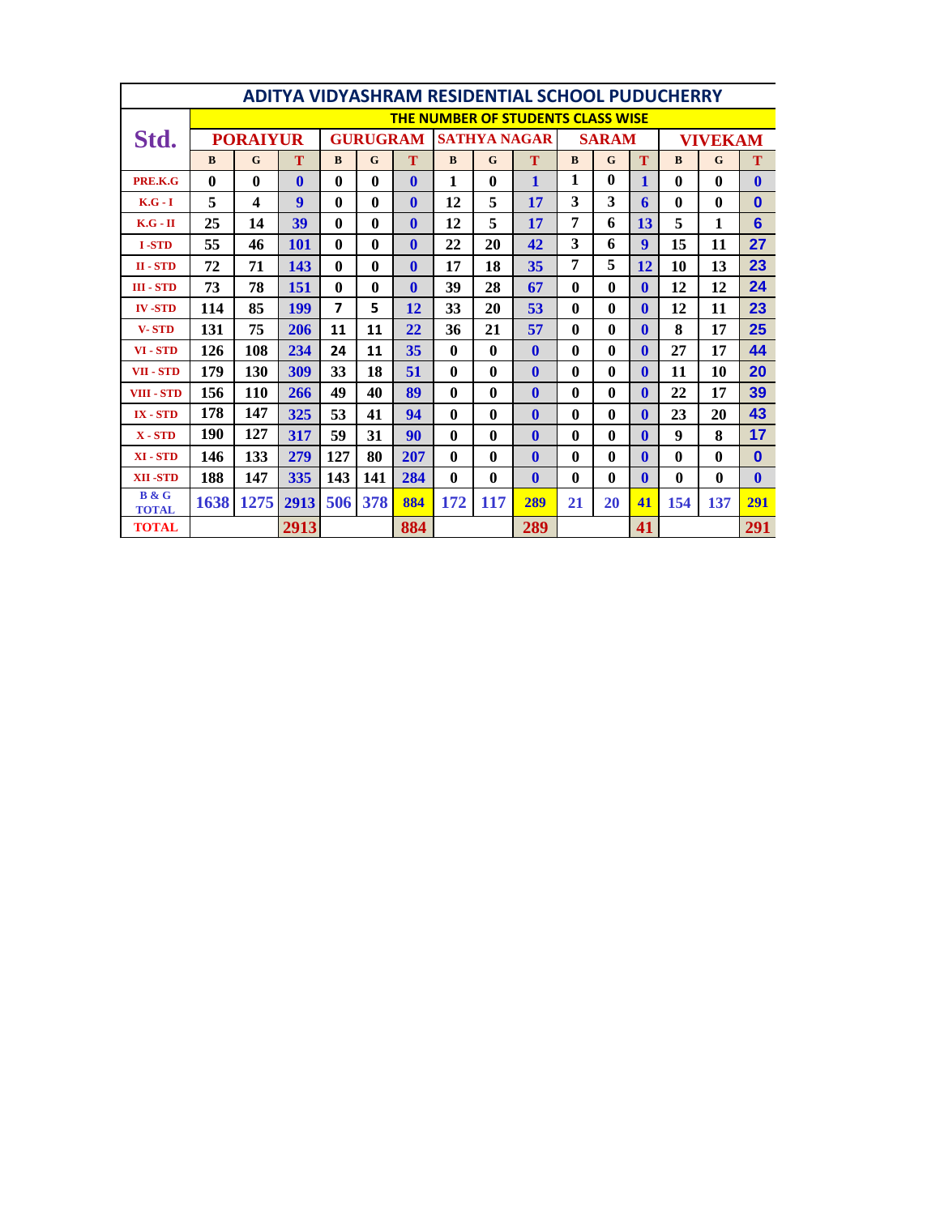|                              | <b>ADITYA VIDYASHRAM RESIDENTIAL SCHOOL PUDUCHERRY</b> |              |              |                         |              |              |                     |                  |              |              |              |              |                |             |                  |
|------------------------------|--------------------------------------------------------|--------------|--------------|-------------------------|--------------|--------------|---------------------|------------------|--------------|--------------|--------------|--------------|----------------|-------------|------------------|
|                              | <b>THE NUMBER OF STUDENTS CLASS WISE</b>               |              |              |                         |              |              |                     |                  |              |              |              |              |                |             |                  |
| Std.                         | <b>PORAIYUR</b>                                        |              |              | <b>GURUGRAM</b>         |              |              | <b>SATHYA NAGAR</b> |                  |              | <b>SARAM</b> |              |              | <b>VIVEKAM</b> |             |                  |
|                              | B                                                      | $\mathbf G$  | T            | B                       | $\mathbf G$  | T            | $\bf{B}$            | $\mathbf G$      | T            | B            | $\mathbf G$  | T            | $\bf{B}$       | $\mathbf G$ | T                |
| PRE.K.G                      | $\mathbf{0}$                                           | $\mathbf{0}$ | $\mathbf{0}$ | $\mathbf{0}$            | $\mathbf{0}$ | $\mathbf{0}$ | 1                   | $\mathbf{0}$     | $\mathbf{1}$ | 1            | $\mathbf{0}$ | $\mathbf{1}$ | $\mathbf{0}$   | 0           | $\bf{0}$         |
| $K.G - I$                    | 5                                                      | 4            | 9            | $\mathbf{0}$            | 0            | $\mathbf{0}$ | 12                  | 5                | 17           | 3            | 3            | 6            | $\bf{0}$       | $\bf{0}$    | $\bf{0}$         |
| $K.G - II$                   | 25                                                     | 14           | 39           | $\mathbf{0}$            | $\mathbf{0}$ | $\mathbf{0}$ | 12                  | 5                | 17           | 7            | 6            | 13           | 5              | 1           | $6\phantom{1}6$  |
| <b>I-STD</b>                 | 55                                                     | 46           | <b>101</b>   | $\mathbf{0}$            | 0            | $\mathbf{0}$ | 22                  | 20               | 42           | 3            | 6            | 9            | 15             | 11          | 27               |
| $II - STD$                   | 72                                                     | 71           | 143          | $\mathbf{0}$            | $\mathbf{0}$ | $\mathbf{0}$ | 17                  | 18               | 35           | 7            | 5            | 12           | 10             | 13          | 23               |
| <b>III - STD</b>             | 73                                                     | 78           | <b>151</b>   | $\mathbf{0}$            | $\mathbf{0}$ | $\mathbf{0}$ | 39                  | 28               | 67           | $\mathbf{0}$ | 0            | $\mathbf{0}$ | 12             | 12          | 24               |
| <b>IV-STD</b>                | 114                                                    | 85           | <b>199</b>   | $\overline{\mathbf{z}}$ | 5            | 12           | 33                  | 20               | 53           | $\mathbf{0}$ | $\mathbf{0}$ | $\mathbf{0}$ | 12             | 11          | 23               |
| <b>V-STD</b>                 | 131                                                    | 75           | 206          | 11                      | 11           | 22           | 36                  | 21               | 57           | $\mathbf{0}$ | 0            | $\mathbf{0}$ | 8              | 17          | 25               |
| VI - STD                     | 126                                                    | 108          | 234          | 24                      | 11           | 35           | $\mathbf{0}$        | $\bf{0}$         | $\mathbf{0}$ | $\bf{0}$     | $\mathbf{0}$ | $\mathbf{0}$ | 27             | 17          | 44               |
| VII - STD                    | 179                                                    | 130          | 309          | 33                      | 18           | 51           | $\mathbf{0}$        | $\mathbf{0}$     | $\mathbf{0}$ | $\bf{0}$     | 0            | $\mathbf{0}$ | 11             | 10          | 20               |
| <b>VIII - STD</b>            | 156                                                    | 110          | 266          | 49                      | 40           | 89           | $\mathbf{0}$        | $\mathbf{0}$     | $\mathbf{0}$ | $\mathbf{0}$ | 0            | $\mathbf{0}$ | 22             | 17          | 39               |
| <b>IX-STD</b>                | 178                                                    | 147          | 325          | 53                      | 41           | 94           | $\mathbf{0}$        | $\mathbf{0}$     | $\mathbf{0}$ | $\bf{0}$     | 0            | $\mathbf{0}$ | 23             | 20          | 43               |
| $X - STD$                    | 190                                                    | 127          | 317          | 59                      | 31           | 90           | 0                   | $\mathbf{0}$     | $\mathbf{0}$ | $\mathbf{0}$ | 0            | $\mathbf{0}$ | 9              | 8           | 17               |
| XI - STD                     | 146                                                    | 133          | 279          | 127                     | 80           | 207          | $\mathbf{0}$        | $\boldsymbol{0}$ | $\mathbf{0}$ | $\mathbf{0}$ | $\mathbf{0}$ | $\mathbf{0}$ | $\mathbf{0}$   | 0           | $\bf{0}$         |
| <b>XII-STD</b>               | 188                                                    | 147          | 335          | 143                     | 141          | 284          | $\mathbf{0}$        | $\mathbf{0}$     | $\mathbf{0}$ | $\bf{0}$     | 0            | $\mathbf{0}$ | $\mathbf{0}$   | $\bf{0}$    | $\boldsymbol{0}$ |
| <b>B</b> & G<br><b>TOTAL</b> | 1638                                                   | 1275         | 2913         | 506                     | 378          | 884          | 172                 | 117              | 289          | 21           | 20           | 41           | 154            | 137         | 291              |
| <b>TOTAL</b>                 |                                                        |              |              | 2913                    |              |              |                     |                  | 289          | 41           |              |              | 291            |             |                  |